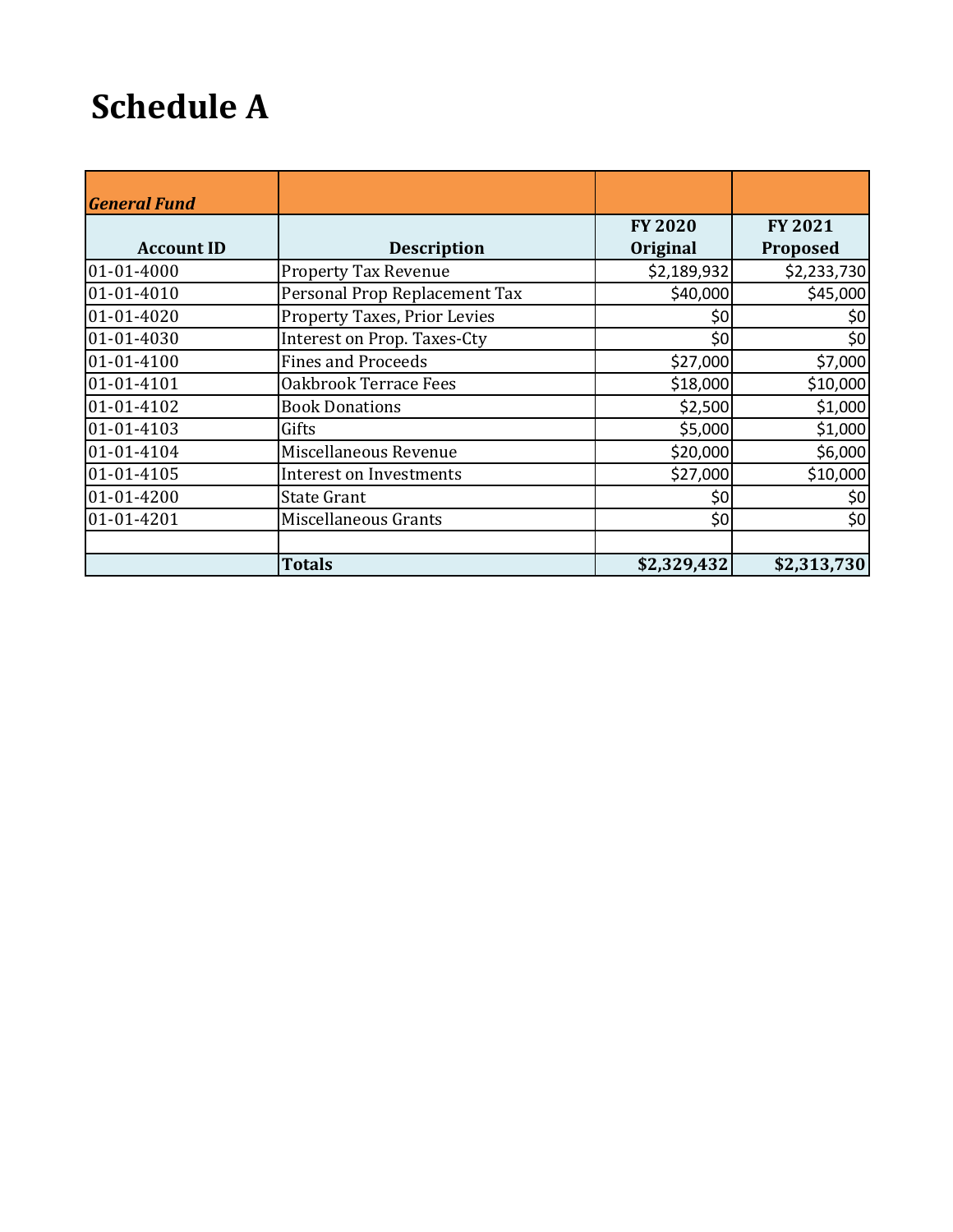## **Schedule A**

| <b>General Fund</b> |                                |                            |                            |
|---------------------|--------------------------------|----------------------------|----------------------------|
| <b>Account ID</b>   | <b>Description</b>             | <b>FY 2020</b><br>Original | FY 2021<br><b>Proposed</b> |
| 01-01-4000          | <b>Property Tax Revenue</b>    | \$2,189,932                | \$2,233,730                |
| 01-01-4010          | Personal Prop Replacement Tax  | \$40,000                   | \$45,000                   |
| 01-01-4020          | Property Taxes, Prior Levies   | \$0                        | \$0                        |
| 01-01-4030          | Interest on Prop. Taxes-Cty    | \$0                        | \$0                        |
| 01-01-4100          | <b>Fines and Proceeds</b>      | \$27,000                   | \$7,000                    |
| 01-01-4101          | Oakbrook Terrace Fees          | \$18,000                   | \$10,000                   |
| 01-01-4102          | <b>Book Donations</b>          | \$2,500                    | \$1,000                    |
| 01-01-4103          | Gifts                          | \$5,000                    | \$1,000                    |
| 01-01-4104          | Miscellaneous Revenue          | \$20,000                   | \$6,000                    |
| 01-01-4105          | <b>Interest on Investments</b> | \$27,000                   | \$10,000                   |
| 01-01-4200          | <b>State Grant</b>             | \$0                        | \$0                        |
| 01-01-4201          | Miscellaneous Grants           | \$0                        | \$0                        |
|                     | <b>Totals</b>                  | \$2,329,432                | \$2,313,730                |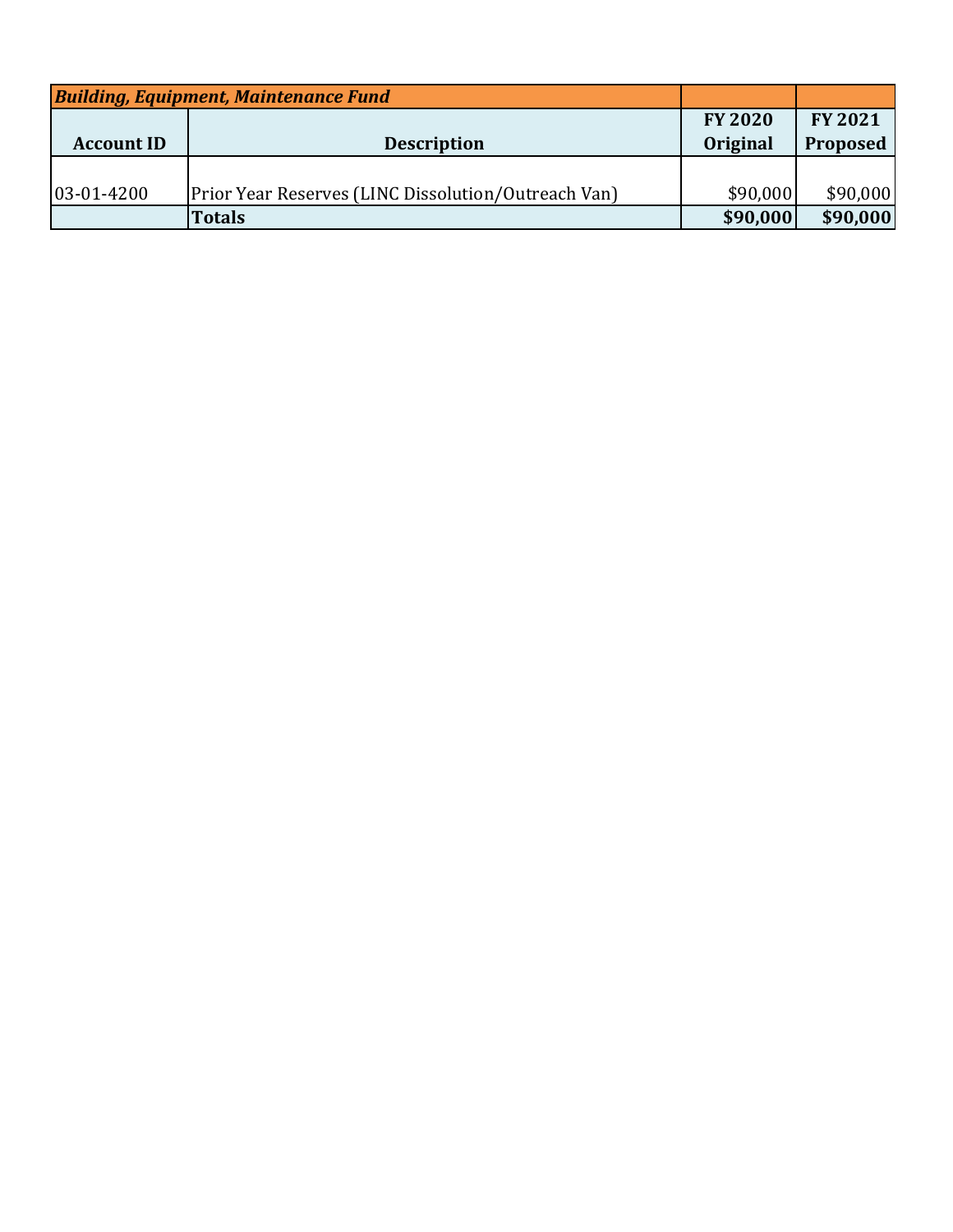| <b>Building, Equipment, Maintenance Fund</b> |                                                            |                 |                |
|----------------------------------------------|------------------------------------------------------------|-----------------|----------------|
|                                              |                                                            | <b>FY 2020</b>  | <b>FY 2021</b> |
| <b>Account ID</b>                            | <b>Description</b>                                         | <b>Original</b> | Proposed       |
|                                              |                                                            |                 |                |
| 03-01-4200                                   | <b>Prior Year Reserves (LINC Dissolution/Outreach Van)</b> | \$90,000        | \$90,000       |
|                                              | <b>Totals</b>                                              | \$90,000        | \$90,000       |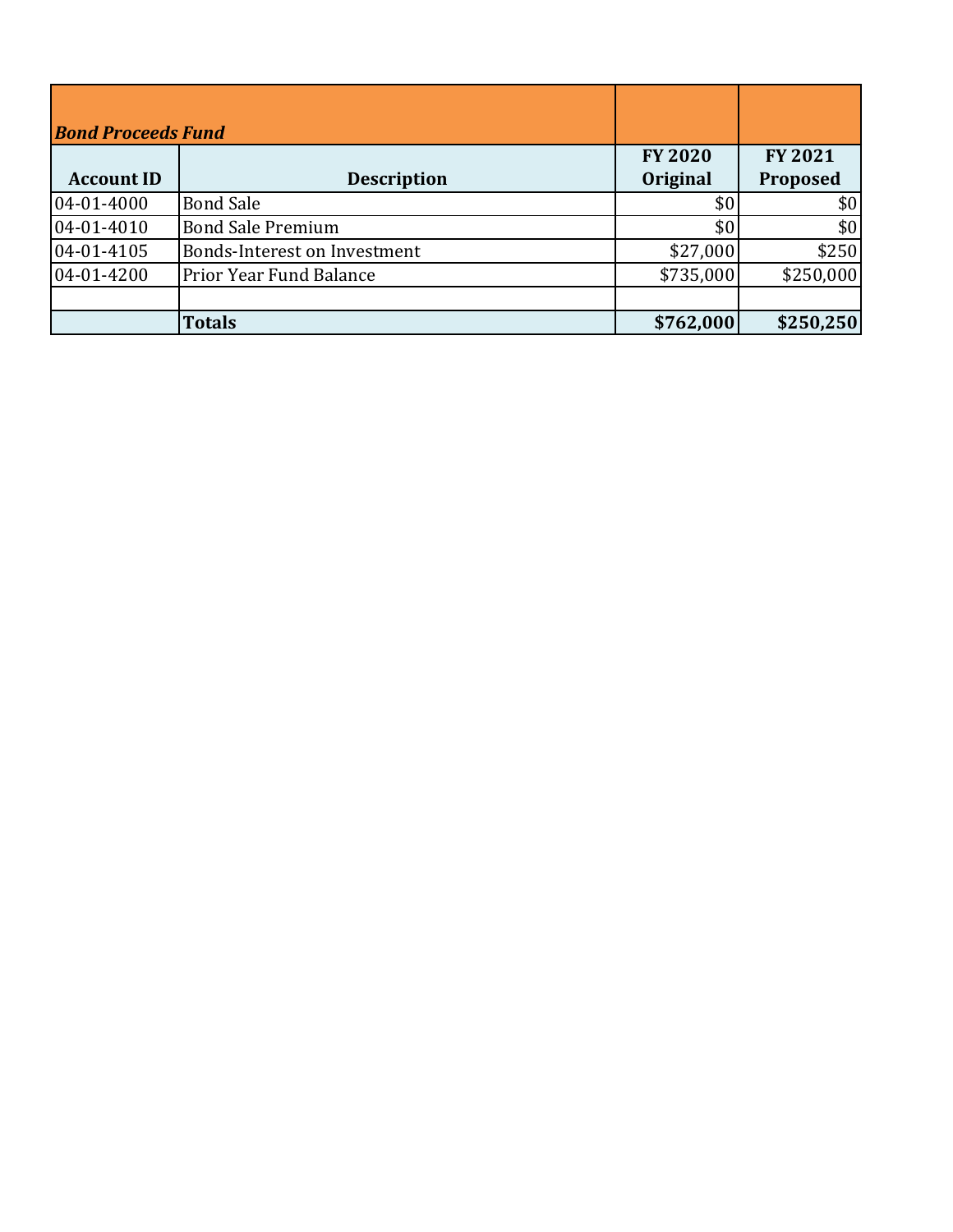| <b>Bond Proceeds Fund</b> |                                |                            |                            |
|---------------------------|--------------------------------|----------------------------|----------------------------|
| <b>Account ID</b>         | <b>Description</b>             | <b>FY 2020</b><br>Original | <b>FY 2021</b><br>Proposed |
| 04-01-4000                | <b>Bond Sale</b>               | \$0                        | \$0                        |
| 04-01-4010                | <b>Bond Sale Premium</b>       | \$0                        | \$0                        |
| 04-01-4105                | Bonds-Interest on Investment   | \$27,000                   | \$250                      |
| 04-01-4200                | <b>Prior Year Fund Balance</b> | \$735,000                  | \$250,000                  |
|                           |                                |                            |                            |
|                           | <b>Totals</b>                  | \$762,000                  | \$250,250                  |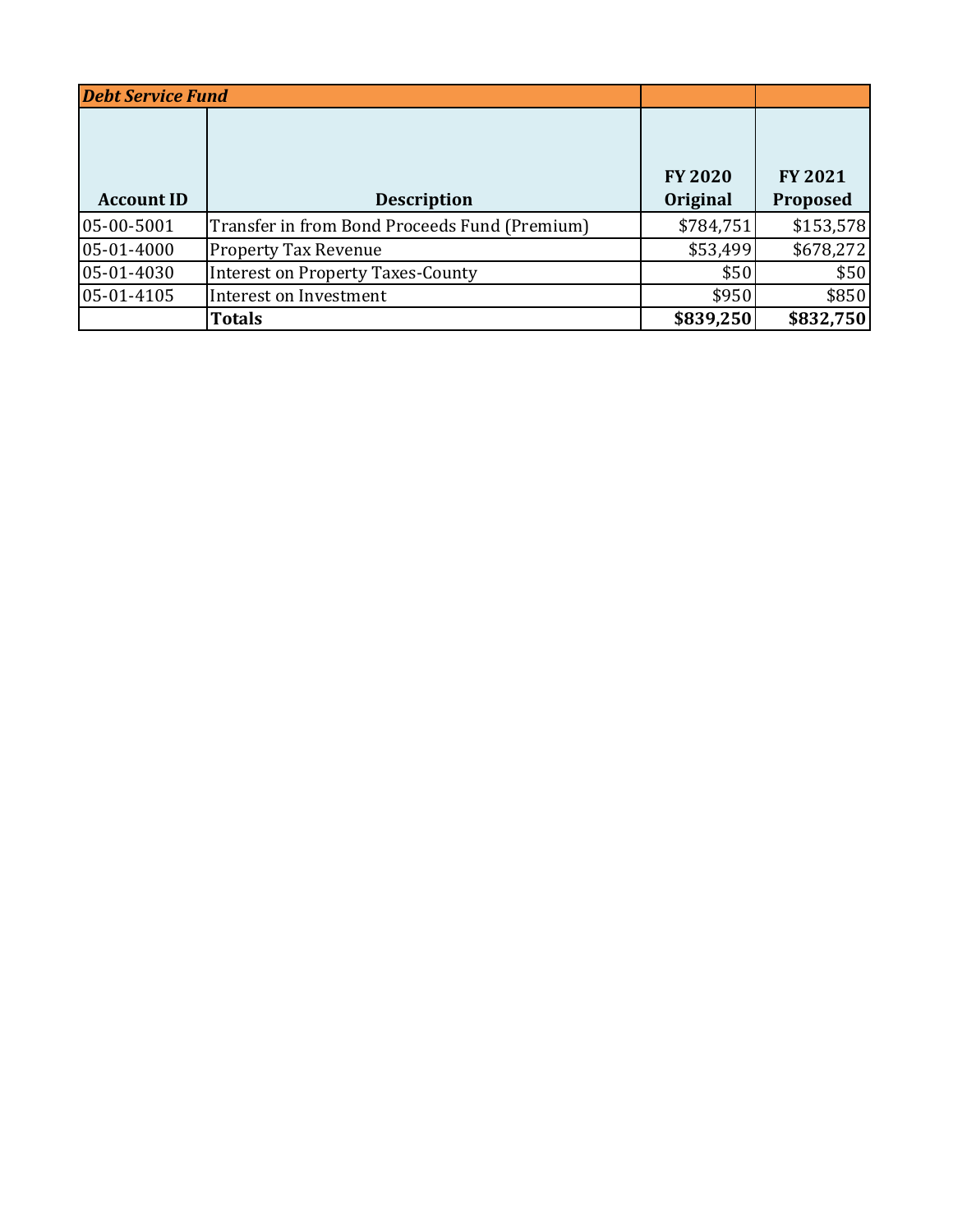| <b>Debt Service Fund</b> |                                               |                            |                            |
|--------------------------|-----------------------------------------------|----------------------------|----------------------------|
| <b>Account ID</b>        | <b>Description</b>                            | <b>FY 2020</b><br>Original | <b>FY 2021</b><br>Proposed |
| 05-00-5001               | Transfer in from Bond Proceeds Fund (Premium) | \$784,751                  | \$153,578                  |
| 05-01-4000               | <b>Property Tax Revenue</b>                   | \$53,499                   | \$678,272                  |
| 05-01-4030               | <b>Interest on Property Taxes-County</b>      | \$50                       | \$50                       |
| 05-01-4105               | Interest on Investment                        | \$950                      | \$850                      |
|                          | <b>Totals</b>                                 | \$839,250                  | \$832,750                  |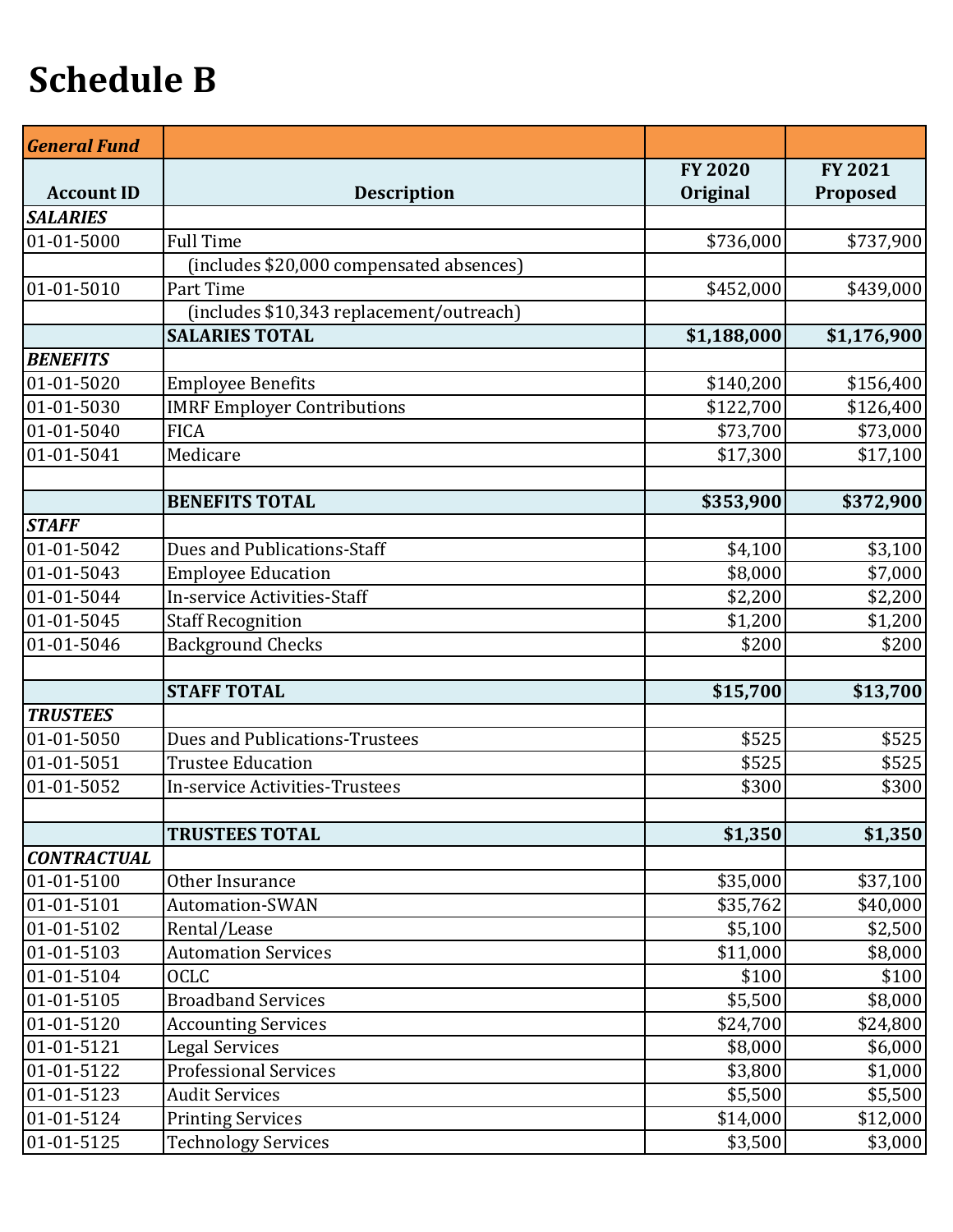## **Schedule B**

| <b>General Fund</b> |                                          |                |                |
|---------------------|------------------------------------------|----------------|----------------|
|                     |                                          | <b>FY 2020</b> | <b>FY 2021</b> |
| <b>Account ID</b>   | <b>Description</b>                       | Original       | Proposed       |
| <b>SALARIES</b>     |                                          |                |                |
| 01-01-5000          | <b>Full Time</b>                         | \$736,000      | \$737,900      |
|                     | (includes \$20,000 compensated absences) |                |                |
| 01-01-5010          | Part Time                                | \$452,000      | \$439,000      |
|                     | (includes \$10,343 replacement/outreach) |                |                |
|                     | <b>SALARIES TOTAL</b>                    | \$1,188,000    | \$1,176,900    |
| <b>BENEFITS</b>     |                                          |                |                |
| 01-01-5020          | <b>Employee Benefits</b>                 | \$140,200      | \$156,400      |
| 01-01-5030          | <b>IMRF Employer Contributions</b>       | \$122,700      | \$126,400      |
| 01-01-5040          | <b>FICA</b>                              | \$73,700       | \$73,000       |
| 01-01-5041          | Medicare                                 | \$17,300       | \$17,100       |
|                     |                                          |                |                |
|                     | <b>BENEFITS TOTAL</b>                    | \$353,900      | \$372,900      |
| <b>STAFF</b>        |                                          |                |                |
| 01-01-5042          | Dues and Publications-Staff              | \$4,100        | \$3,100        |
| 01-01-5043          | <b>Employee Education</b>                | \$8,000        | \$7,000        |
| 01-01-5044          | In-service Activities-Staff              | \$2,200        | \$2,200        |
| 01-01-5045          | <b>Staff Recognition</b>                 | \$1,200        | \$1,200        |
| 01-01-5046          | <b>Background Checks</b>                 | \$200          | \$200          |
|                     |                                          |                |                |
|                     | <b>STAFF TOTAL</b>                       | \$15,700       | \$13,700       |
| <b>TRUSTEES</b>     |                                          |                |                |
| 01-01-5050          | <b>Dues and Publications-Trustees</b>    | \$525          | \$525          |
| 01-01-5051          | <b>Trustee Education</b>                 | \$525          | \$525          |
| 01-01-5052          | <b>In-service Activities-Trustees</b>    | \$300          | \$300          |
|                     |                                          |                |                |
|                     | <b>TRUSTEES TOTAL</b>                    | \$1,350        | \$1,350        |
| <b>CONTRACTUAL</b>  |                                          |                |                |
| 01-01-5100          | Other Insurance                          | \$35,000       | \$37,100       |
| 01-01-5101          | <b>Automation-SWAN</b>                   | \$35,762       | \$40,000       |
| 01-01-5102          | Rental/Lease                             | \$5,100        | \$2,500        |
| 01-01-5103          | <b>Automation Services</b>               | \$11,000       | \$8,000        |
| 01-01-5104          | <b>OCLC</b>                              | \$100          | \$100          |
| 01-01-5105          | <b>Broadband Services</b>                | \$5,500        | \$8,000        |
| 01-01-5120          | <b>Accounting Services</b>               | \$24,700       | \$24,800       |
| 01-01-5121          | <b>Legal Services</b>                    | \$8,000        | \$6,000        |
| 01-01-5122          | <b>Professional Services</b>             | \$3,800        | \$1,000        |
| 01-01-5123          | <b>Audit Services</b>                    | \$5,500        | \$5,500        |
| 01-01-5124          | <b>Printing Services</b>                 | \$14,000       | \$12,000       |
| 01-01-5125          | <b>Technology Services</b>               | \$3,500        | \$3,000        |
|                     |                                          |                |                |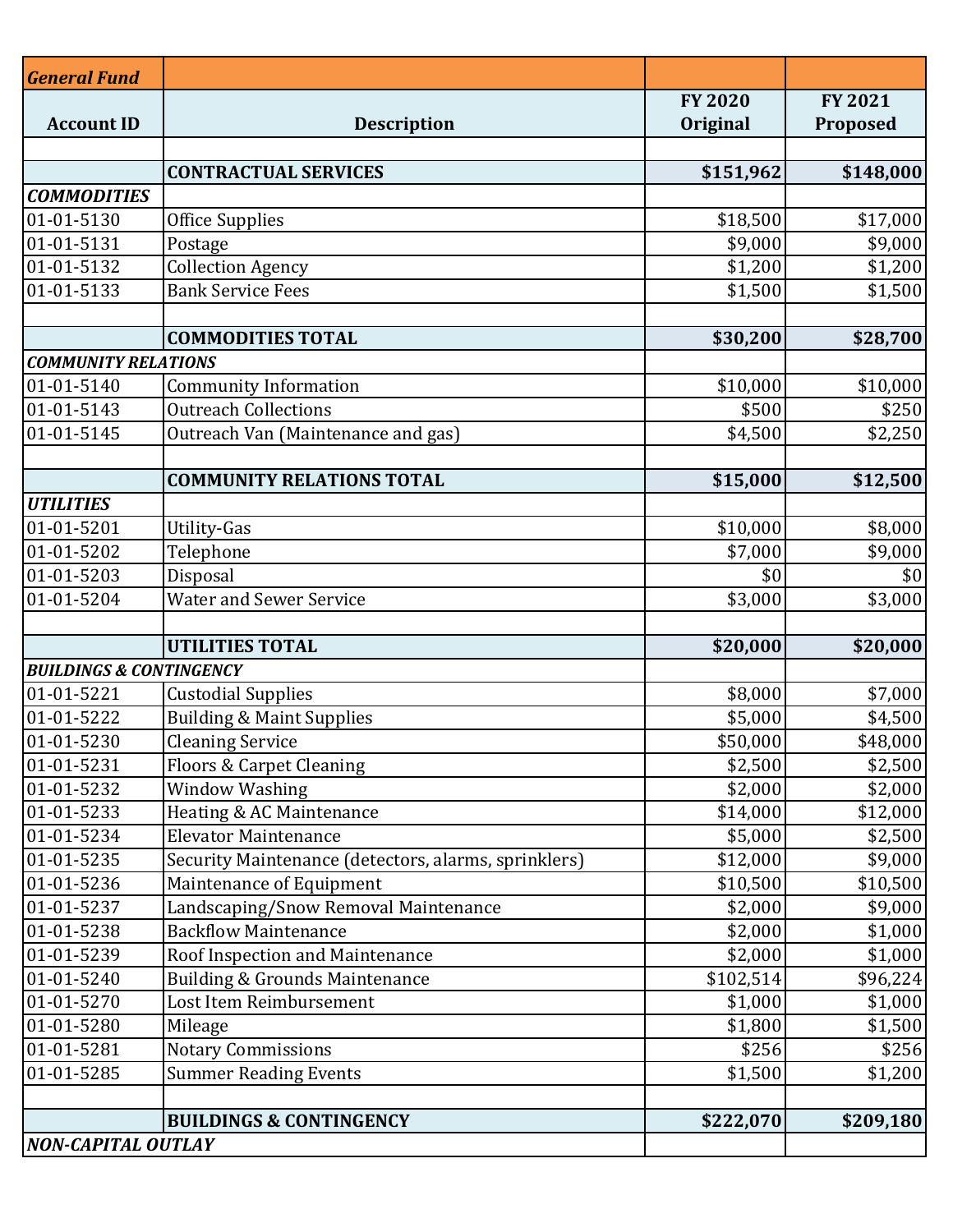| <b>General Fund</b>                |                                                      |                |                |
|------------------------------------|------------------------------------------------------|----------------|----------------|
|                                    |                                                      | <b>FY 2020</b> | <b>FY 2021</b> |
| <b>Account ID</b>                  | <b>Description</b>                                   | Original       | Proposed       |
|                                    |                                                      |                |                |
|                                    | <b>CONTRACTUAL SERVICES</b>                          | \$151,962      | \$148,000      |
| <b>COMMODITIES</b>                 |                                                      |                |                |
| 01-01-5130                         | <b>Office Supplies</b>                               | \$18,500       | \$17,000       |
| 01-01-5131                         | Postage                                              | \$9,000        | \$9,000        |
| 01-01-5132                         | <b>Collection Agency</b>                             | \$1,200        | \$1,200        |
| 01-01-5133                         | <b>Bank Service Fees</b>                             | \$1,500        | \$1,500        |
|                                    |                                                      |                |                |
|                                    | <b>COMMODITIES TOTAL</b>                             | \$30,200       | \$28,700       |
| <b>COMMUNITY RELATIONS</b>         |                                                      |                |                |
| 01-01-5140                         | <b>Community Information</b>                         | \$10,000       | \$10,000       |
| 01-01-5143                         | <b>Outreach Collections</b>                          | \$500          | \$250          |
| 01-01-5145                         | Outreach Van (Maintenance and gas)                   | \$4,500        | \$2,250        |
|                                    |                                                      |                |                |
|                                    | <b>COMMUNITY RELATIONS TOTAL</b>                     | \$15,000       | \$12,500       |
| <b>UTILITIES</b>                   |                                                      |                |                |
| 01-01-5201                         | Utility-Gas                                          | \$10,000       | \$8,000        |
| 01-01-5202                         | Telephone                                            | \$7,000        | \$9,000        |
| 01-01-5203                         | Disposal                                             | \$0            | \$0            |
| 01-01-5204                         | <b>Water and Sewer Service</b>                       | \$3,000        | \$3,000        |
|                                    | <b>UTILITIES TOTAL</b>                               |                | \$20,000       |
| <b>BUILDINGS &amp; CONTINGENCY</b> |                                                      | \$20,000       |                |
| 01-01-5221                         | <b>Custodial Supplies</b>                            | \$8,000        | \$7,000        |
| 01-01-5222                         | <b>Building &amp; Maint Supplies</b>                 | \$5,000        | \$4,500        |
| 01-01-5230                         | <b>Cleaning Service</b>                              | \$50,000       | \$48,000       |
| 01-01-5231                         | Floors & Carpet Cleaning                             | \$2,500        | \$2,500        |
| 01-01-5232                         | <b>Window Washing</b>                                | \$2,000        | \$2,000        |
| 01-01-5233                         | Heating & AC Maintenance                             | \$14,000       | \$12,000       |
| 01-01-5234                         | <b>Elevator Maintenance</b>                          | \$5,000        | \$2,500        |
| 01-01-5235                         | Security Maintenance (detectors, alarms, sprinklers) | \$12,000       | \$9,000        |
| 01-01-5236                         | Maintenance of Equipment                             | \$10,500       | \$10,500       |
| 01-01-5237                         | Landscaping/Snow Removal Maintenance                 | \$2,000        | \$9,000        |
| 01-01-5238                         | <b>Backflow Maintenance</b>                          | \$2,000        | \$1,000        |
| 01-01-5239                         | Roof Inspection and Maintenance                      | \$2,000        | \$1,000        |
| 01-01-5240                         | <b>Building &amp; Grounds Maintenance</b>            | \$102,514      | \$96,224       |
| 01-01-5270                         | Lost Item Reimbursement                              | \$1,000        | \$1,000        |
| 01-01-5280                         | Mileage                                              | \$1,800        | \$1,500        |
| 01-01-5281                         | <b>Notary Commissions</b>                            | \$256          | \$256          |
| 01-01-5285                         | <b>Summer Reading Events</b>                         | \$1,500        | \$1,200        |
|                                    |                                                      |                |                |
|                                    | <b>BUILDINGS &amp; CONTINGENCY</b>                   | \$222,070      | \$209,180      |
| <b>NON-CAPITAL OUTLAY</b>          |                                                      |                |                |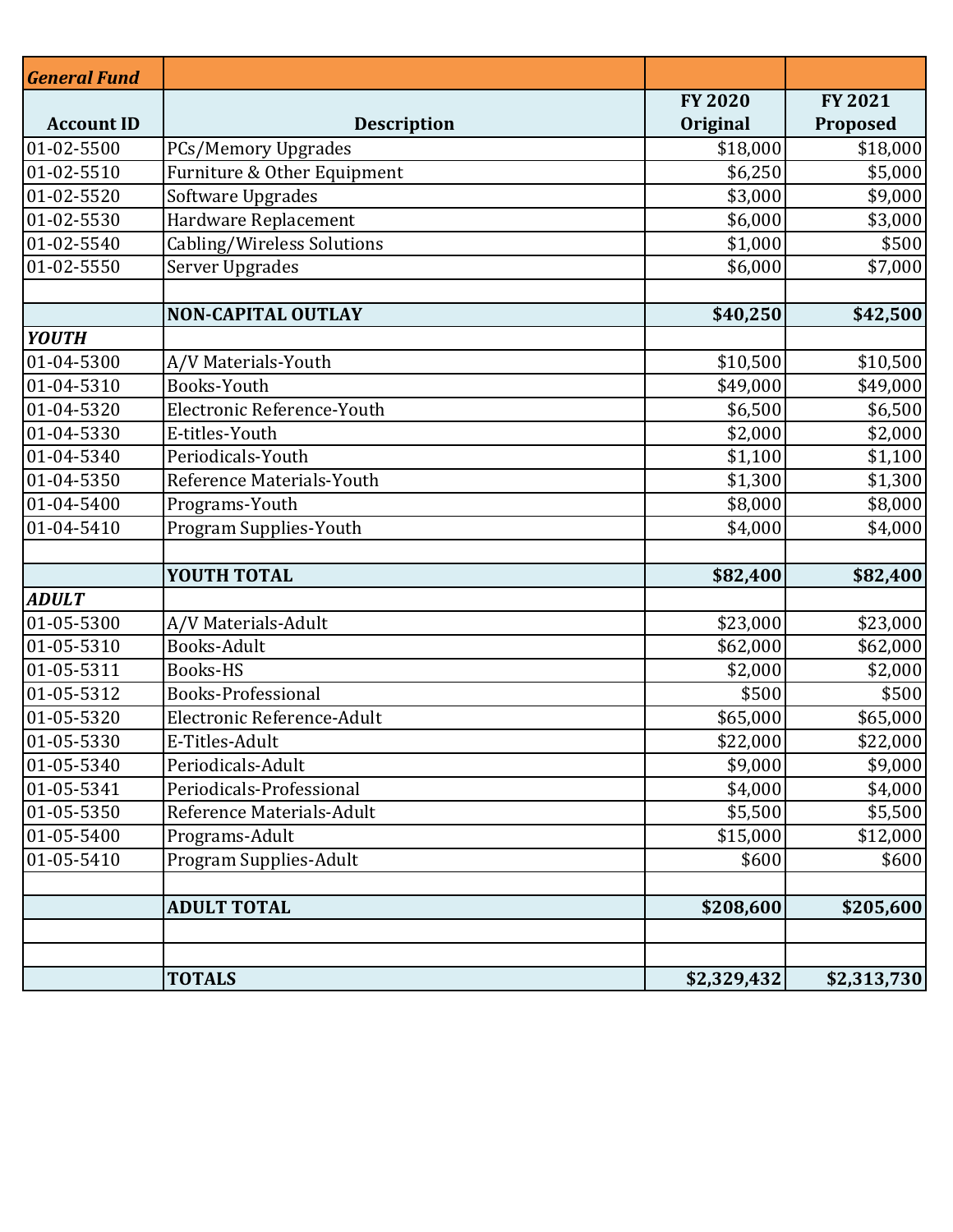| <b>General Fund</b> |                             |                |                |
|---------------------|-----------------------------|----------------|----------------|
|                     |                             | <b>FY 2020</b> | <b>FY 2021</b> |
| <b>Account ID</b>   | <b>Description</b>          | Original       | Proposed       |
| 01-02-5500          | <b>PCs/Memory Upgrades</b>  | \$18,000       | \$18,000       |
| 01-02-5510          | Furniture & Other Equipment | \$6,250        | \$5,000        |
| 01-02-5520          | Software Upgrades           | \$3,000        | \$9,000        |
| 01-02-5530          | Hardware Replacement        | \$6,000        | \$3,000        |
| 01-02-5540          | Cabling/Wireless Solutions  | \$1,000        | \$500          |
| 01-02-5550          | Server Upgrades             | \$6,000        | \$7,000        |
|                     |                             |                |                |
|                     | <b>NON-CAPITAL OUTLAY</b>   | \$40,250       | \$42,500       |
| <b>YOUTH</b>        |                             |                |                |
| 01-04-5300          | A/V Materials-Youth         | \$10,500       | \$10,500       |
| 01-04-5310          | Books-Youth                 | \$49,000       | \$49,000       |
| 01-04-5320          | Electronic Reference-Youth  | \$6,500        | \$6,500        |
| 01-04-5330          | E-titles-Youth              | \$2,000        | \$2,000        |
| 01-04-5340          | Periodicals-Youth           | \$1,100        | \$1,100        |
| 01-04-5350          | Reference Materials-Youth   | \$1,300        | \$1,300        |
| 01-04-5400          | Programs-Youth              | \$8,000        | \$8,000        |
| 01-04-5410          | Program Supplies-Youth      | \$4,000        | \$4,000        |
|                     |                             |                |                |
|                     | YOUTH TOTAL                 | \$82,400       | \$82,400       |
| <b>ADULT</b>        |                             |                |                |
| 01-05-5300          | A/V Materials-Adult         | \$23,000       | \$23,000       |
| 01-05-5310          | Books-Adult                 | \$62,000       | \$62,000       |
| 01-05-5311          | <b>Books-HS</b>             | \$2,000        | \$2,000        |
| 01-05-5312          | <b>Books-Professional</b>   | \$500          | \$500          |
| 01-05-5320          | Electronic Reference-Adult  | \$65,000       | \$65,000       |
| 01-05-5330          | E-Titles-Adult              | \$22,000       | \$22,000       |
| 01-05-5340          | Periodicals-Adult           | \$9,000        | \$9,000        |
| 01-05-5341          | Periodicals-Professional    | \$4,000        | \$4,000        |
| 01-05-5350          | Reference Materials-Adult   | \$5,500        | \$5,500        |
| 01-05-5400          | Programs-Adult              | \$15,000       | \$12,000       |
| 01-05-5410          | Program Supplies-Adult      | \$600          | \$600          |
|                     |                             |                |                |
|                     | <b>ADULT TOTAL</b>          | \$208,600      | \$205,600      |
|                     |                             |                |                |
|                     |                             |                |                |
|                     | <b>TOTALS</b>               | \$2,329,432    | \$2,313,730    |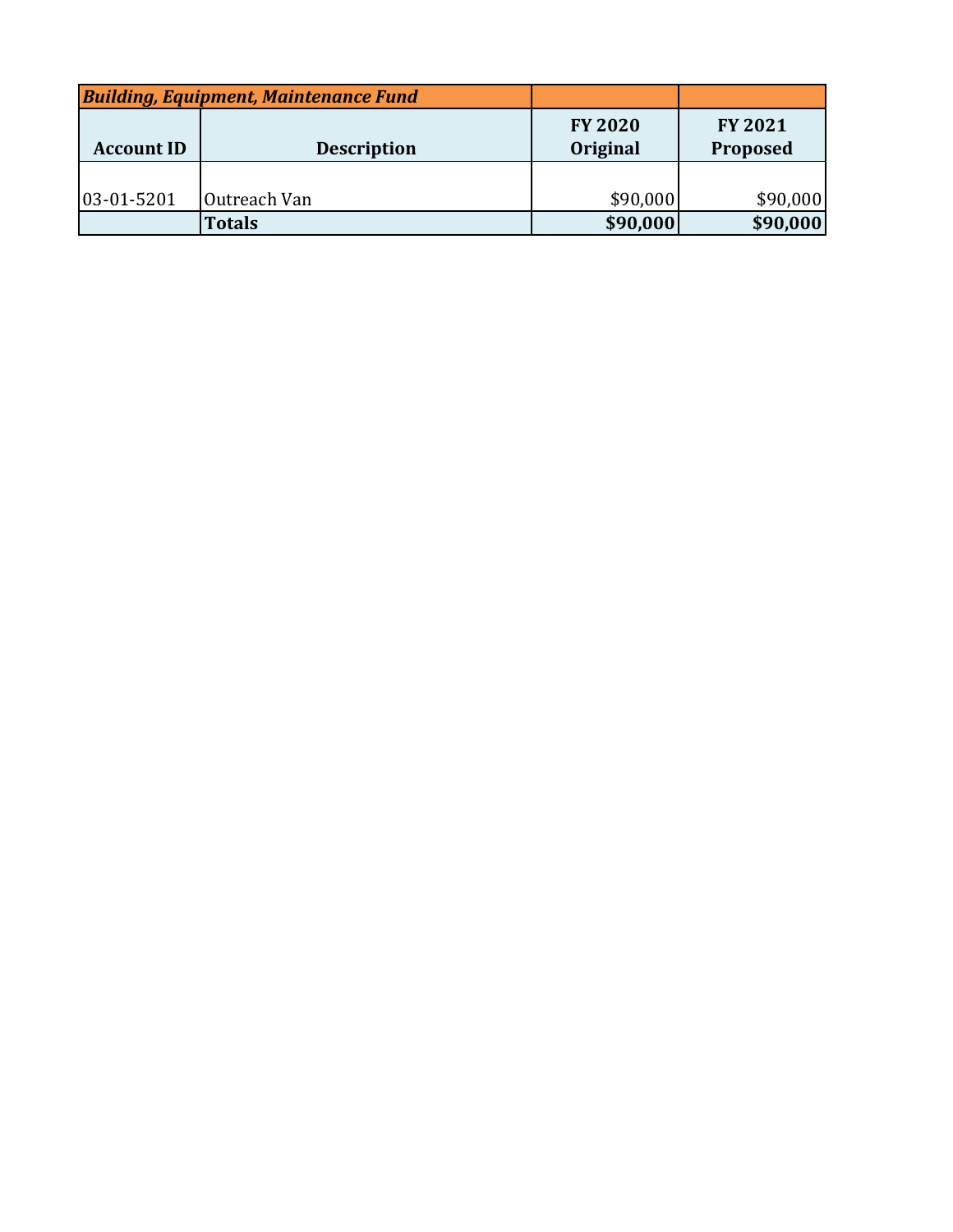| <b>Building, Equipment, Maintenance Fund</b> |                    |                            |                            |
|----------------------------------------------|--------------------|----------------------------|----------------------------|
| <b>Account ID</b>                            | <b>Description</b> | <b>FY 2020</b><br>Original | <b>FY 2021</b><br>Proposed |
|                                              |                    |                            |                            |
| 03-01-5201                                   | Outreach Van       | \$90,000                   | \$90,000                   |
|                                              | <b>Totals</b>      | \$90,000                   | \$90,000                   |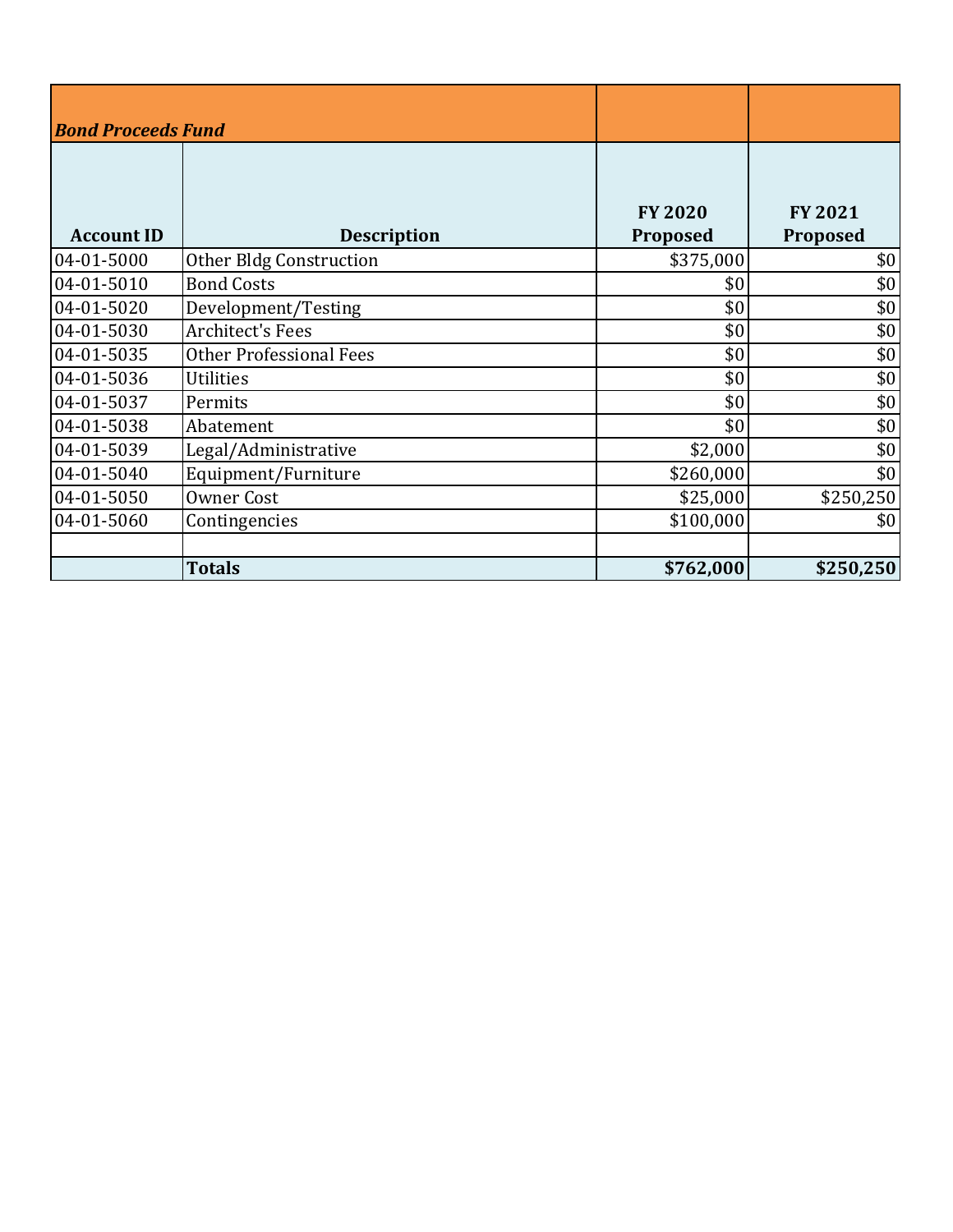| <b>Bond Proceeds Fund</b> |                                |                            |                            |
|---------------------------|--------------------------------|----------------------------|----------------------------|
| <b>Account ID</b>         | <b>Description</b>             | <b>FY 2020</b><br>Proposed | <b>FY 2021</b><br>Proposed |
| 04-01-5000                | <b>Other Bldg Construction</b> | \$375,000                  | \$0                        |
| 04-01-5010                | <b>Bond Costs</b>              | \$0                        | \$0                        |
| 04-01-5020                | Development/Testing            | \$0                        | \$0                        |
| 04-01-5030                | <b>Architect's Fees</b>        | \$0                        | \$0                        |
| 04-01-5035                | <b>Other Professional Fees</b> | \$0                        | \$0                        |
| 04-01-5036                | <b>Utilities</b>               | \$0                        | \$0                        |
| 04-01-5037                | Permits                        | \$0                        | \$0                        |
| 04-01-5038                | Abatement                      | \$0                        | \$0                        |
| 04-01-5039                | Legal/Administrative           | \$2,000                    | \$0                        |
| 04-01-5040                | Equipment/Furniture            | \$260,000                  | \$0                        |
| 04-01-5050                | <b>Owner Cost</b>              | \$25,000                   | \$250,250                  |
| 04-01-5060                | Contingencies                  | \$100,000                  | \$0                        |
|                           |                                |                            |                            |
|                           | <b>Totals</b>                  | \$762,000                  | \$250,250                  |